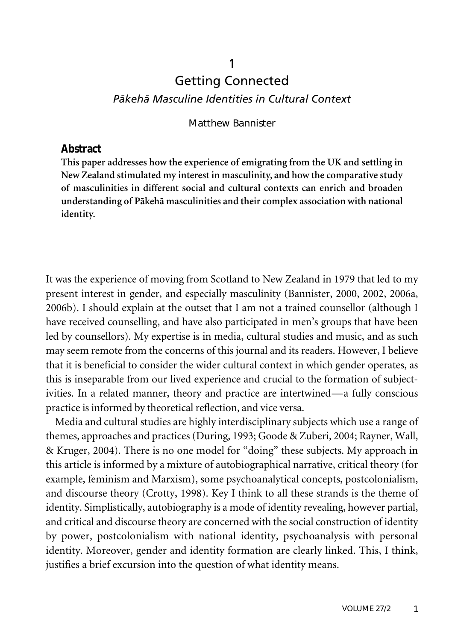# Getting Connected *Päkehä Masculine Identities in Cultural Context*

1

#### Matthew Bannister

#### **Abstract**

**This paper addresses how the experience of emigrating from the UK and settling in New Zealand stimulated my interest in masculinity, and how the comparative study of masculinities in different social and cultural contexts can enrich and broaden understanding of Päkehä masculinities and their complex association with national identity.**

It was the experience of moving from Scotland to New Zealand in 1979 that led to my present interest in gender, and especially masculinity (Bannister, 2000, 2002, 2006a, 2006b). I should explain at the outset that I am not a trained counsellor (although I have received counselling, and have also participated in men's groups that have been led by counsellors). My expertise is in media, cultural studies and music, and as such may seem remote from the concerns of this journal and its readers. However, I believe that it is beneficial to consider the wider cultural context in which gender operates, as this is inseparable from our lived experience and crucial to the formation of subjectivities. In a related manner, theory and practice are intertwined—a fully conscious practice is informed by theoretical reflection, and vice versa.

Media and cultural studies are highly interdisciplinary subjects which use a range of themes, approaches and practices (During, 1993; Goode & Zuberi, 2004; Rayner, Wall, & Kruger, 2004). There is no one model for "doing" these subjects. My approach in this article is informed by a mixture of autobiographical narrative, critical theory (for example, feminism and Marxism), some psychoanalytical concepts, postcolonialism, and discourse theory (Crotty, 1998). Key I think to all these strands is the theme of identity. Simplistically, autobiography is a mode of identity revealing, however partial, and critical and discourse theory are concerned with the social construction of identity by power, postcolonialism with national identity, psychoanalysis with personal identity. Moreover, gender and identity formation are clearly linked. This, I think, justifies a brief excursion into the question of what identity means.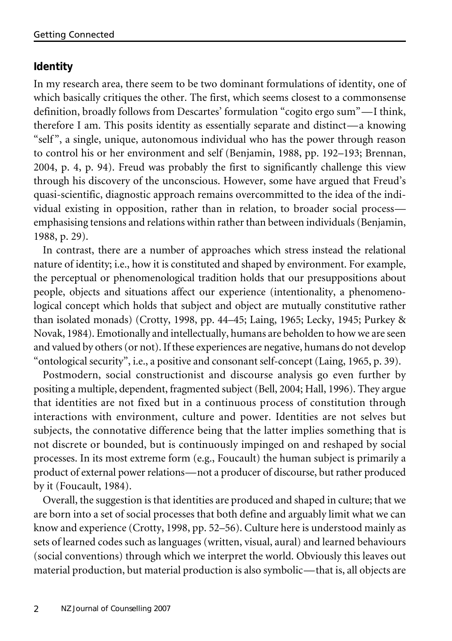## **Identity**

In my research area, there seem to be two dominant formulations of identity, one of which basically critiques the other. The first, which seems closest to a commonsense definition, broadly follows from Descartes' formulation "cogito ergo sum"—I think, therefore I am. This posits identity as essentially separate and distinct—a knowing "self ", a single, unique, autonomous individual who has the power through reason to control his or her environment and self (Benjamin, 1988, pp. 192–193; Brennan, 2004, p. 4, p. 94). Freud was probably the first to significantly challenge this view through his discovery of the unconscious. However, some have argued that Freud's quasi-scientific, diagnostic approach remains overcommitted to the idea of the individual existing in opposition, rather than in relation, to broader social process emphasising tensions and relations within rather than between individuals (Benjamin, 1988, p. 29).

In contrast, there are a number of approaches which stress instead the relational nature of identity; i.e., how it is constituted and shaped by environment. For example, the perceptual or phenomenological tradition holds that our presuppositions about people, objects and situations affect our experience (intentionality, a phenomenological concept which holds that subject and object are mutually constitutive rather than isolated monads) (Crotty, 1998, pp. 44–45; Laing, 1965; Lecky, 1945; Purkey & Novak, 1984). Emotionally and intellectually, humans are beholden to how we are seen and valued by others (or not). If these experiences are negative, humans do not develop "ontological security", i.e., a positive and consonant self-concept (Laing, 1965, p. 39).

Postmodern, social constructionist and discourse analysis go even further by positing a multiple, dependent, fragmented subject (Bell, 2004; Hall, 1996). They argue that identities are not fixed but in a continuous process of constitution through interactions with environment, culture and power. Identities are not selves but subjects, the connotative difference being that the latter implies something that is not discrete or bounded, but is continuously impinged on and reshaped by social processes. In its most extreme form (e.g., Foucault) the human subject is primarily a product of external power relations—not a producer of discourse, but rather produced by it (Foucault, 1984).

Overall, the suggestion is that identities are produced and shaped in culture; that we are born into a set of social processes that both define and arguably limit what we can know and experience (Crotty, 1998, pp. 52–56). Culture here is understood mainly as sets of learned codes such as languages (written, visual, aural) and learned behaviours (social conventions) through which we interpret the world. Obviously this leaves out material production, but material production is also symbolic—that is, all objects are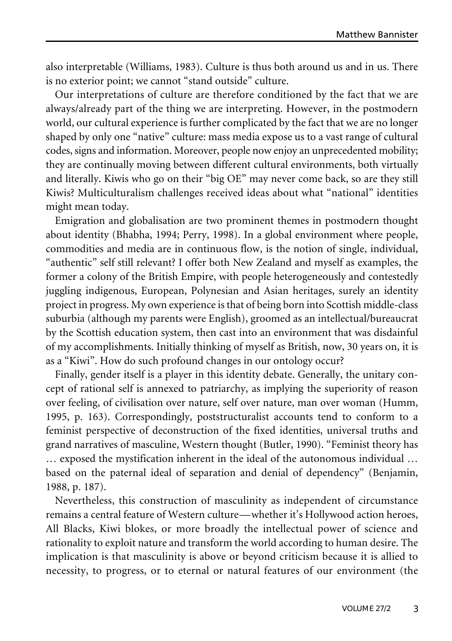also interpretable (Williams, 1983). Culture is thus both around us and in us. There is no exterior point; we cannot "stand outside" culture.

Our interpretations of culture are therefore conditioned by the fact that we are always/already part of the thing we are interpreting. However, in the postmodern world, our cultural experience is further complicated by the fact that we are no longer shaped by only one "native" culture: mass media expose us to a vast range of cultural codes, signs and information. Moreover, people now enjoy an unprecedented mobility; they are continually moving between different cultural environments, both virtually and literally. Kiwis who go on their "big OE" may never come back, so are they still Kiwis? Multiculturalism challenges received ideas about what "national" identities might mean today.

Emigration and globalisation are two prominent themes in postmodern thought about identity (Bhabha, 1994; Perry, 1998). In a global environment where people, commodities and media are in continuous flow, is the notion of single, individual, "authentic" self still relevant? I offer both New Zealand and myself as examples, the former a colony of the British Empire, with people heterogeneously and contestedly juggling indigenous, European, Polynesian and Asian heritages, surely an identity project in progress. My own experience is that of being born into Scottish middle-class suburbia (although my parents were English), groomed as an intellectual/bureaucrat by the Scottish education system, then cast into an environment that was disdainful of my accomplishments. Initially thinking of myself as British, now, 30 years on, it is as a "Kiwi". How do such profound changes in our ontology occur?

Finally, gender itself is a player in this identity debate. Generally, the unitary concept of rational self is annexed to patriarchy, as implying the superiority of reason over feeling, of civilisation over nature, self over nature, man over woman (Humm, 1995, p. 163). Correspondingly, poststructuralist accounts tend to conform to a feminist perspective of deconstruction of the fixed identities, universal truths and grand narratives of masculine, Western thought (Butler, 1990). "Feminist theory has … exposed the mystification inherent in the ideal of the autonomous individual … based on the paternal ideal of separation and denial of dependency" (Benjamin, 1988, p. 187).

Nevertheless, this construction of masculinity as independent of circumstance remains a central feature of Western culture—whether it's Hollywood action heroes, All Blacks, Kiwi blokes, or more broadly the intellectual power of science and rationality to exploit nature and transform the world according to human desire. The implication is that masculinity is above or beyond criticism because it is allied to necessity, to progress, or to eternal or natural features of our environment (the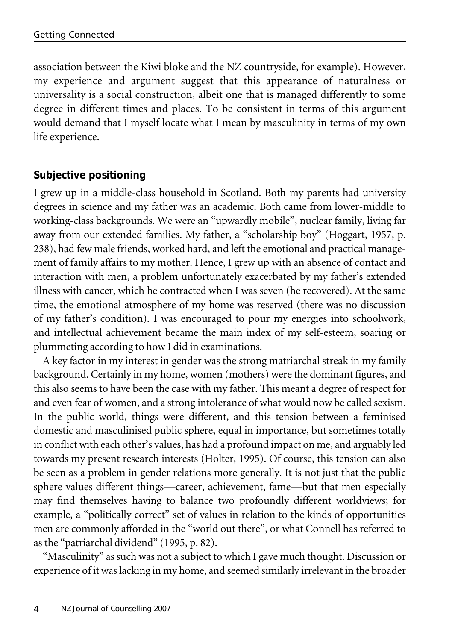association between the Kiwi bloke and the NZ countryside, for example). However, my experience and argument suggest that this appearance of naturalness or universality is a social construction, albeit one that is managed differently to some degree in different times and places. To be consistent in terms of this argument would demand that I myself locate what I mean by masculinity in terms of my own life experience.

### **Subjective positioning**

I grew up in a middle-class household in Scotland. Both my parents had university degrees in science and my father was an academic. Both came from lower-middle to working-class backgrounds. We were an "upwardly mobile", nuclear family, living far away from our extended families. My father, a "scholarship boy" (Hoggart, 1957, p. 238), had few male friends, worked hard, and left the emotional and practical management of family affairs to my mother. Hence, I grew up with an absence of contact and interaction with men, a problem unfortunately exacerbated by my father's extended illness with cancer, which he contracted when I was seven (he recovered). At the same time, the emotional atmosphere of my home was reserved (there was no discussion of my father's condition). I was encouraged to pour my energies into schoolwork, and intellectual achievement became the main index of my self-esteem, soaring or plummeting according to how I did in examinations.

A key factor in my interest in gender was the strong matriarchal streak in my family background. Certainly in my home, women (mothers) were the dominant figures, and this also seems to have been the case with my father. This meant a degree of respect for and even fear of women, and a strong intolerance of what would now be called sexism. In the public world, things were different, and this tension between a feminised domestic and masculinised public sphere, equal in importance, but sometimes totally in conflict with each other's values, has had a profound impact on me, and arguably led towards my present research interests (Holter, 1995). Of course, this tension can also be seen as a problem in gender relations more generally. It is not just that the public sphere values different things—career, achievement, fame—but that men especially may find themselves having to balance two profoundly different worldviews; for example, a "politically correct" set of values in relation to the kinds of opportunities men are commonly afforded in the "world out there", or what Connell has referred to as the "patriarchal dividend" (1995, p. 82).

"Masculinity" as such was not a subject to which I gave much thought. Discussion or experience of it waslacking in my home, and seemed similarly irrelevant in the broader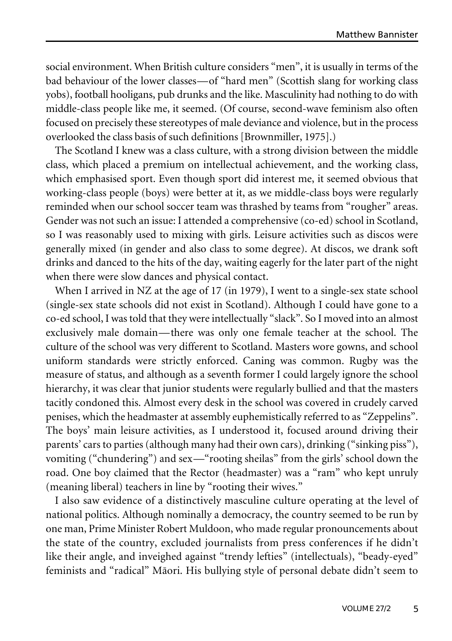social environment. When British culture considers "men", it is usually in terms of the bad behaviour of the lower classes—of "hard men" (Scottish slang for working class yobs), football hooligans, pub drunks and the like. Masculinity had nothing to do with middle-class people like me, it seemed. (Of course, second-wave feminism also often focused on precisely these stereotypes of male deviance and violence, but in the process overlooked the class basis of such definitions [Brownmiller, 1975].)

The Scotland I knew was a class culture, with a strong division between the middle class, which placed a premium on intellectual achievement, and the working class, which emphasised sport. Even though sport did interest me, it seemed obvious that working-class people (boys) were better at it, as we middle-class boys were regularly reminded when our school soccer team was thrashed by teams from "rougher" areas. Gender was not such an issue: I attended a comprehensive (co-ed) school in Scotland, so I was reasonably used to mixing with girls. Leisure activities such as discos were generally mixed (in gender and also class to some degree). At discos, we drank soft drinks and danced to the hits of the day, waiting eagerly for the later part of the night when there were slow dances and physical contact.

When I arrived in NZ at the age of 17 (in 1979), I went to a single-sex state school (single-sex state schools did not exist in Scotland). Although I could have gone to a co-ed school, I was told that they were intellectually "slack". So I moved into an almost exclusively male domain—there was only one female teacher at the school. The culture of the school was very different to Scotland. Masters wore gowns, and school uniform standards were strictly enforced. Caning was common. Rugby was the measure of status, and although as a seventh former I could largely ignore the school hierarchy, it was clear that junior students were regularly bullied and that the masters tacitly condoned this. Almost every desk in the school was covered in crudely carved penises, which the headmaster at assembly euphemistically referred to as "Zeppelins". The boys' main leisure activities, as I understood it, focused around driving their parents' cars to parties (although many had their own cars), drinking ("sinking piss"), vomiting ("chundering") and sex—"rooting sheilas" from the girls' school down the road. One boy claimed that the Rector (headmaster) was a "ram" who kept unruly (meaning liberal) teachers in line by "rooting their wives."

I also saw evidence of a distinctively masculine culture operating at the level of national politics. Although nominally a democracy, the country seemed to be run by one man, Prime Minister Robert Muldoon, who made regular pronouncements about the state of the country, excluded journalists from press conferences if he didn't like their angle, and inveighed against "trendy lefties" (intellectuals), "beady-eyed" feminists and "radical" Mäori. His bullying style of personal debate didn't seem to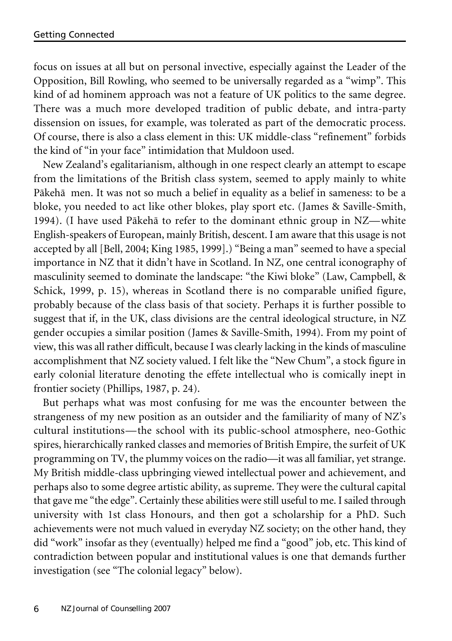focus on issues at all but on personal invective, especially against the Leader of the Opposition, Bill Rowling, who seemed to be universally regarded as a "wimp". This kind of ad hominem approach was not a feature of UK politics to the same degree. There was a much more developed tradition of public debate, and intra-party dissension on issues, for example, was tolerated as part of the democratic process. Of course, there is also a class element in this: UK middle-class "refinement" forbids the kind of "in your face" intimidation that Muldoon used.

New Zealand's egalitarianism, although in one respect clearly an attempt to escape from the limitations of the British class system, seemed to apply mainly to white Päkehä men. It was not so much a belief in equality as a belief in sameness: to be a bloke, you needed to act like other blokes, play sport etc. (James & Saville-Smith, 1994). (I have used Päkehä to refer to the dominant ethnic group in NZ—white English-speakers of European, mainly British, descent. I am aware that this usage is not accepted by all [Bell, 2004; King 1985, 1999].) "Being a man" seemed to have a special importance in NZ that it didn't have in Scotland. In NZ, one central iconography of masculinity seemed to dominate the landscape: "the Kiwi bloke" (Law, Campbell, & Schick, 1999, p. 15), whereas in Scotland there is no comparable unified figure, probably because of the class basis of that society. Perhaps it is further possible to suggest that if, in the UK, class divisions are the central ideological structure, in NZ gender occupies a similar position (James & Saville-Smith, 1994). From my point of view, this was all rather difficult, because I was clearly lacking in the kinds of masculine accomplishment that NZ society valued. I felt like the "New Chum", a stock figure in early colonial literature denoting the effete intellectual who is comically inept in frontier society (Phillips, 1987, p. 24).

But perhaps what was most confusing for me was the encounter between the strangeness of my new position as an outsider and the familiarity of many of NZ's cultural institutions—the school with its public-school atmosphere, neo-Gothic spires, hierarchically ranked classes and memories of British Empire, the surfeit of UK programming on TV, the plummy voices on the radio—it was all familiar, yet strange. My British middle-class upbringing viewed intellectual power and achievement, and perhaps also to some degree artistic ability, as supreme. They were the cultural capital that gave me "the edge". Certainly these abilities were still useful to me. I sailed through university with 1st class Honours, and then got a scholarship for a PhD. Such achievements were not much valued in everyday NZ society; on the other hand, they did "work" insofar as they (eventually) helped me find a "good" job, etc. This kind of contradiction between popular and institutional values is one that demands further investigation (see "The colonial legacy" below).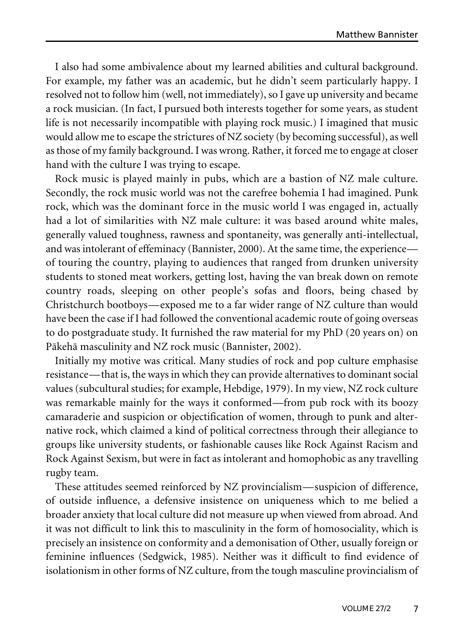I also had some ambivalence about my learned abilities and cultural background. For example, my father was an academic, but he didn't seem particularly happy. I resolved not to follow him (well, not immediately), so I gave up university and became a rock musician. (In fact, I pursued both interests together for some years, as student life is not necessarily incompatible with playing rock music.) I imagined that music would allow me to escape the strictures of NZ society (by becoming successful), as well as those of my family background. I was wrong. Rather, it forced me to engage at closer hand with the culture I was trying to escape.

Rock music is played mainly in pubs, which are a bastion of NZ male culture. Secondly, the rock music world was not the carefree bohemia I had imagined. Punk rock, which was the dominant force in the music world I was engaged in, actually had a lot of similarities with NZ male culture: it was based around white males, generally valued toughness, rawness and spontaneity, was generally anti-intellectual, and was intolerant of effeminacy (Bannister, 2000). At the same time, the experience of touring the country, playing to audiences that ranged from drunken university students to stoned meat workers, getting lost, having the van break down on remote country roads, sleeping on other people's sofas and floors, being chased by Christchurch bootboys—exposed me to a far wider range of NZ culture than would have been the case if I had followed the conventional academic route of going overseas to do postgraduate study. It furnished the raw material for my PhD (20 years on) on Päkehä masculinity and NZ rock music (Bannister, 2002).

Initially my motive was critical. Many studies of rock and pop culture emphasise resistance—that is, the ways in which they can provide alternatives to dominant social values (subcultural studies; for example, Hebdige, 1979). In my view, NZ rock culture was remarkable mainly for the ways it conformed—from pub rock with its boozy camaraderie and suspicion or objectification of women, through to punk and alternative rock, which claimed a kind of political correctness through their allegiance to groups like university students, or fashionable causes like Rock Against Racism and Rock Against Sexism, but were in fact as intolerant and homophobic as any travelling rugby team.

These attitudes seemed reinforced by NZ provincialism—suspicion of difference, of outside influence, a defensive insistence on uniqueness which to me belied a broader anxiety that local culture did not measure up when viewed from abroad. And it was not difficult to link this to masculinity in the form of homosociality, which is precisely an insistence on conformity and a demonisation of Other, usually foreign or feminine influences (Sedgwick, 1985). Neither was it difficult to find evidence of isolationism in other forms of NZ culture, from the tough masculine provincialism of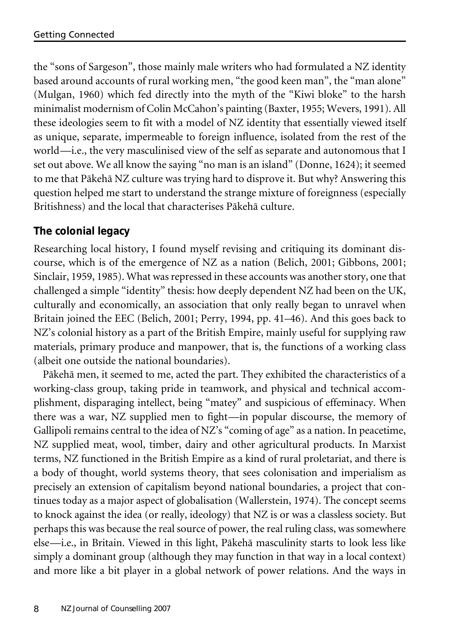the "sons of Sargeson", those mainly male writers who had formulated a NZ identity based around accounts of rural working men, "the good keen man", the "man alone" (Mulgan, 1960) which fed directly into the myth of the "Kiwi bloke" to the harsh minimalist modernism of Colin McCahon's painting (Baxter, 1955; Wevers, 1991). All these ideologies seem to fit with a model of NZ identity that essentially viewed itself as unique, separate, impermeable to foreign influence, isolated from the rest of the world—i.e., the very masculinised view of the self as separate and autonomous that I set out above. We all know the saying "no man is an island" (Donne, 1624); it seemed to me that Päkehä NZ culture was trying hard to disprove it. But why? Answering this question helped me start to understand the strange mixture of foreignness (especially Britishness) and the local that characterises Päkehä culture.

## **The colonial legacy**

Researching local history, I found myself revising and critiquing its dominant discourse, which is of the emergence of NZ as a nation (Belich, 2001; Gibbons, 2001; Sinclair, 1959, 1985). What was repressed in these accounts was another story, one that challenged a simple "identity" thesis: how deeply dependent NZ had been on the UK, culturally and economically, an association that only really began to unravel when Britain joined the EEC (Belich, 2001; Perry, 1994, pp. 41–46). And this goes back to NZ's colonial history as a part of the British Empire, mainly useful for supplying raw materials, primary produce and manpower, that is, the functions of a working class (albeit one outside the national boundaries).

Päkehä men, it seemed to me, acted the part. They exhibited the characteristics of a working-class group, taking pride in teamwork, and physical and technical accomplishment, disparaging intellect, being "matey" and suspicious of effeminacy. When there was a war, NZ supplied men to fight—in popular discourse, the memory of Gallipoli remains central to the idea of NZ's "coming of age" as a nation. In peacetime, NZ supplied meat, wool, timber, dairy and other agricultural products. In Marxist terms, NZ functioned in the British Empire as a kind of rural proletariat, and there is a body of thought, world systems theory, that sees colonisation and imperialism as precisely an extension of capitalism beyond national boundaries, a project that continues today as a major aspect of globalisation (Wallerstein, 1974). The concept seems to knock against the idea (or really, ideology) that NZ is or was a classless society. But perhaps this was because the real source of power, the real ruling class, was somewhere else—i.e., in Britain. Viewed in this light, Päkehä masculinity starts to look less like simply a dominant group (although they may function in that way in a local context) and more like a bit player in a global network of power relations. And the ways in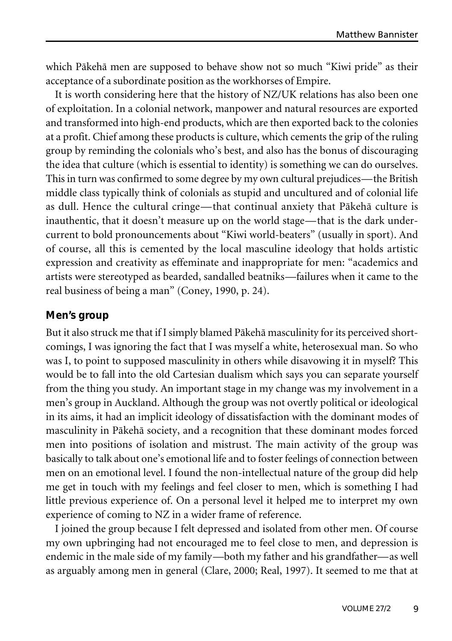which Päkehä men are supposed to behave show not so much "Kiwi pride" as their acceptance of a subordinate position as the workhorses of Empire.

It is worth considering here that the history of NZ/UK relations has also been one of exploitation. In a colonial network, manpower and natural resources are exported and transformed into high-end products, which are then exported back to the colonies at a profit. Chief among these products is culture, which cements the grip of the ruling group by reminding the colonials who's best, and also has the bonus of discouraging the idea that culture (which is essential to identity) is something we can do ourselves. This in turn was confirmed to some degree by my own cultural prejudices—the British middle class typically think of colonials as stupid and uncultured and of colonial life as dull. Hence the cultural cringe—that continual anxiety that Päkehä culture is inauthentic, that it doesn't measure up on the world stage—that is the dark undercurrent to bold pronouncements about "Kiwi world-beaters" (usually in sport). And of course, all this is cemented by the local masculine ideology that holds artistic expression and creativity as effeminate and inappropriate for men: "academics and artists were stereotyped as bearded, sandalled beatniks—failures when it came to the real business of being a man" (Coney, 1990, p. 24).

#### **Men's group**

But it also struck me that if I simply blamed Pākehā masculinity for its perceived shortcomings, I was ignoring the fact that I was myself a white, heterosexual man. So who was I, to point to supposed masculinity in others while disavowing it in myself? This would be to fall into the old Cartesian dualism which says you can separate yourself from the thing you study. An important stage in my change was my involvement in a men's group in Auckland. Although the group was not overtly political or ideological in its aims, it had an implicit ideology of dissatisfaction with the dominant modes of masculinity in Päkehä society, and a recognition that these dominant modes forced men into positions of isolation and mistrust. The main activity of the group was basically to talk about one's emotional life and to foster feelings of connection between men on an emotional level. I found the non-intellectual nature of the group did help me get in touch with my feelings and feel closer to men, which is something I had little previous experience of. On a personal level it helped me to interpret my own experience of coming to NZ in a wider frame of reference.

I joined the group because I felt depressed and isolated from other men. Of course my own upbringing had not encouraged me to feel close to men, and depression is endemic in the male side of my family—both my father and his grandfather—as well as arguably among men in general (Clare, 2000; Real, 1997). It seemed to me that at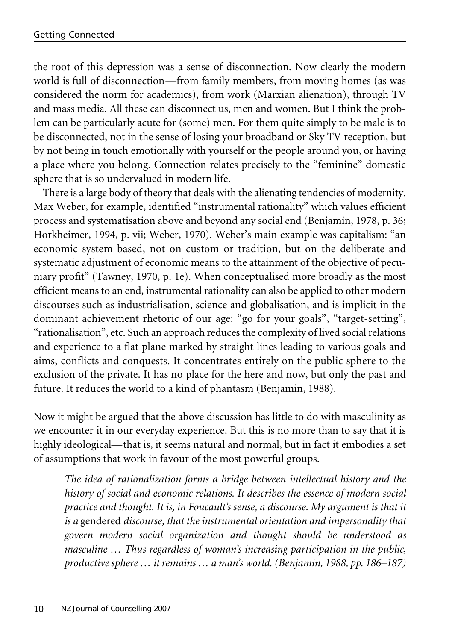the root of this depression was a sense of disconnection. Now clearly the modern world is full of disconnection—from family members, from moving homes (as was considered the norm for academics), from work (Marxian alienation), through TV and mass media. All these can disconnect us, men and women. But I think the problem can be particularly acute for (some) men. For them quite simply to be male is to be disconnected, not in the sense of losing your broadband or Sky TV reception, but by not being in touch emotionally with yourself or the people around you, or having a place where you belong. Connection relates precisely to the "feminine" domestic sphere that is so undervalued in modern life.

There is a large body of theory that deals with the alienating tendencies of modernity. Max Weber, for example, identified "instrumental rationality" which values efficient process and systematisation above and beyond any social end (Benjamin, 1978, p. 36; Horkheimer, 1994, p. vii; Weber, 1970). Weber's main example was capitalism: "an economic system based, not on custom or tradition, but on the deliberate and systematic adjustment of economic means to the attainment of the objective of pecuniary profit" (Tawney, 1970, p. 1e). When conceptualised more broadly as the most efficient means to an end, instrumental rationality can also be applied to other modern discourses such as industrialisation, science and globalisation, and is implicit in the dominant achievement rhetoric of our age: "go for your goals", "target-setting", "rationalisation", etc. Such an approach reduces the complexity of lived social relations and experience to a flat plane marked by straight lines leading to various goals and aims, conflicts and conquests. It concentrates entirely on the public sphere to the exclusion of the private. It has no place for the here and now, but only the past and future. It reduces the world to a kind of phantasm (Benjamin, 1988).

Now it might be argued that the above discussion has little to do with masculinity as we encounter it in our everyday experience. But this is no more than to say that it is highly ideological—that is, it seems natural and normal, but in fact it embodies a set of assumptions that work in favour of the most powerful groups.

*The idea of rationalization forms a bridge between intellectual history and the history of social and economic relations. It describes the essence of modern social practice and thought. It is, in Foucault's sense, a discourse. My argument is that it is a* gendered *discourse, that the instrumental orientation and impersonality that govern modern social organization and thought should be understood as masculine … Thus regardless of woman's increasing participation in the public, productive sphere … it remains … a man's world.(Benjamin, 1988, pp. 186–187)*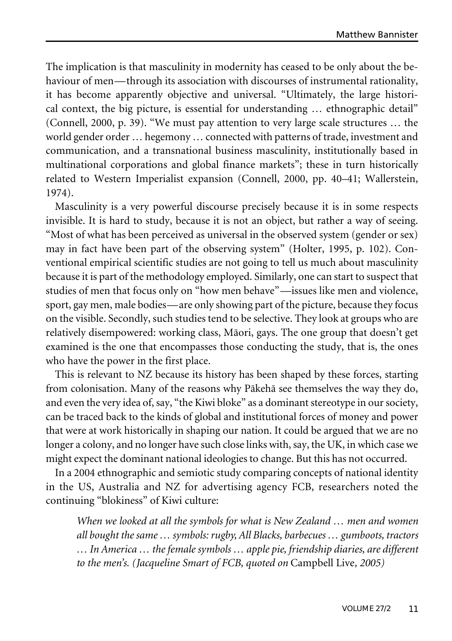The implication is that masculinity in modernity has ceased to be only about the behaviour of men—through its association with discourses of instrumental rationality, it has become apparently objective and universal. "Ultimately, the large historical context, the big picture, is essential for understanding … ethnographic detail" (Connell, 2000, p. 39). "We must pay attention to very large scale structures … the world gender order … hegemony … connected with patterns of trade, investment and communication, and a transnational business masculinity, institutionally based in multinational corporations and global finance markets"; these in turn historically related to Western Imperialist expansion (Connell, 2000, pp. 40–41; Wallerstein, 1974).

Masculinity is a very powerful discourse precisely because it is in some respects invisible. It is hard to study, because it is not an object, but rather a way of seeing. "Most of what has been perceived as universal in the observed system (gender or sex) may in fact have been part of the observing system" (Holter, 1995, p. 102). Conventional empirical scientific studies are not going to tell us much about masculinity because it is part of the methodology employed. Similarly, one can start to suspect that studies of men that focus only on "how men behave"—issues like men and violence, sport, gay men, male bodies—are only showing part of the picture, because they focus on the visible. Secondly, such studies tend to be selective. They look at groups who are relatively disempowered: working class, Mäori, gays. The one group that doesn't get examined is the one that encompasses those conducting the study, that is, the ones who have the power in the first place.

This is relevant to NZ because its history has been shaped by these forces, starting from colonisation. Many of the reasons why Päkehä see themselves the way they do, and even the very idea of, say, "the Kiwi bloke" as a dominant stereotype in oursociety, can be traced back to the kinds of global and institutional forces of money and power that were at work historically in shaping our nation. It could be argued that we are no longer a colony, and no longer have such close links with, say, the UK, in which case we might expect the dominant national ideologies to change. But this has not occurred.

In a 2004 ethnographic and semiotic study comparing concepts of national identity in the US, Australia and NZ for advertising agency FCB, researchers noted the continuing "blokiness" of Kiwi culture:

*When we looked at all the symbols for what is New Zealand … men and women all bought thesame … symbols: rugby,All Blacks, barbecues … gumboots, tractors … In America … the female symbols … apple pie, friendship diaries, are different to the men's. (Jacqueline Smart of FCB, quoted on* Campbell Live*, 2005)*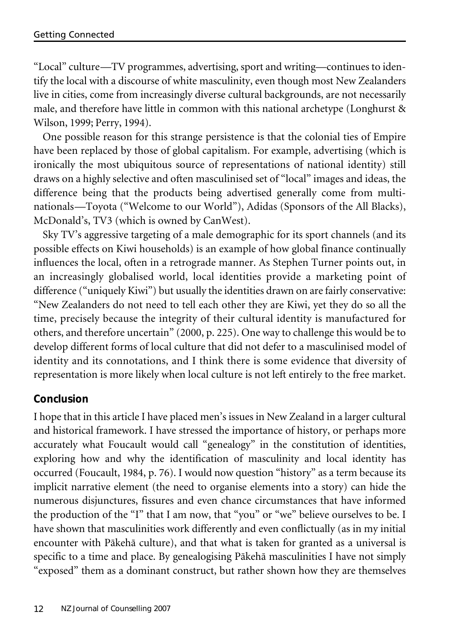"Local" culture—TV programmes, advertising, sport and writing—continues to identify the local with a discourse of white masculinity, even though most New Zealanders live in cities, come from increasingly diverse cultural backgrounds, are not necessarily male, and therefore have little in common with this national archetype (Longhurst & Wilson, 1999; Perry, 1994).

One possible reason for this strange persistence is that the colonial ties of Empire have been replaced by those of global capitalism. For example, advertising (which is ironically the most ubiquitous source of representations of national identity) still draws on a highly selective and often masculinised set of "local" images and ideas, the difference being that the products being advertised generally come from multinationals—Toyota ("Welcome to our World"), Adidas (Sponsors of the All Blacks), McDonald's, TV3 (which is owned by CanWest).

Sky TV's aggressive targeting of a male demographic for its sport channels (and its possible effects on Kiwi households) is an example of how global finance continually influences the local, often in a retrograde manner. As Stephen Turner points out, in an increasingly globalised world, local identities provide a marketing point of difference ("uniquely Kiwi") but usually the identities drawn on are fairly conservative: "New Zealanders do not need to tell each other they are Kiwi, yet they do so all the time, precisely because the integrity of their cultural identity is manufactured for others, and therefore uncertain" (2000, p. 225). One way to challenge this would be to develop different forms of local culture that did not defer to a masculinised model of identity and its connotations, and I think there is some evidence that diversity of representation is more likely when local culture is not left entirely to the free market.

## **Conclusion**

I hope that in this article I have placed men's issues in New Zealand in a larger cultural and historical framework. I have stressed the importance of history, or perhaps more accurately what Foucault would call "genealogy" in the constitution of identities, exploring how and why the identification of masculinity and local identity has occurred (Foucault, 1984, p. 76). I would now question "history" as a term because its implicit narrative element (the need to organise elements into a story) can hide the numerous disjunctures, fissures and even chance circumstances that have informed the production of the "I" that I am now, that "you" or "we" believe ourselves to be. I have shown that masculinities work differently and even conflictually (as in my initial encounter with Päkehä culture), and that what is taken for granted as a universal is specific to a time and place. By genealogising Päkehä masculinities I have not simply "exposed" them as a dominant construct, but rather shown how they are themselves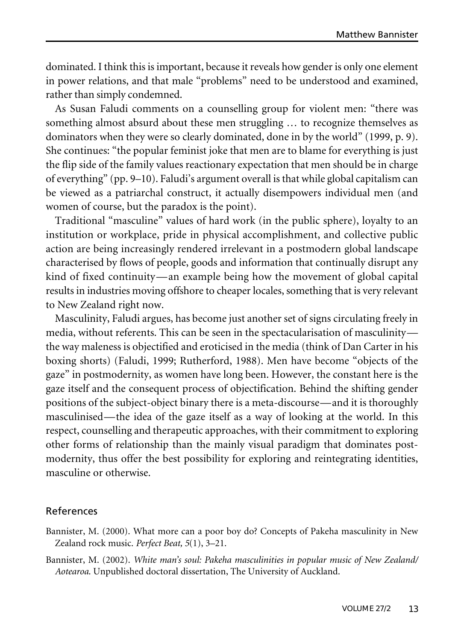dominated. I think this is important, because it reveals how gender is only one element in power relations, and that male "problems" need to be understood and examined, rather than simply condemned.

As Susan Faludi comments on a counselling group for violent men: "there was something almost absurd about these men struggling … to recognize themselves as dominators when they were so clearly dominated, done in by the world" (1999, p. 9). She continues: "the popular feminist joke that men are to blame for everything is just the flip side of the family values reactionary expectation that men should be in charge of everything" (pp. 9–10). Faludi's argument overall is that while global capitalism can be viewed as a patriarchal construct, it actually disempowers individual men (and women of course, but the paradox is the point).

Traditional "masculine" values of hard work (in the public sphere), loyalty to an institution or workplace, pride in physical accomplishment, and collective public action are being increasingly rendered irrelevant in a postmodern global landscape characterised by flows of people, goods and information that continually disrupt any kind of fixed continuity—an example being how the movement of global capital results in industries moving offshore to cheaper locales, something that is very relevant to New Zealand right now.

Masculinity, Faludi argues, has become just another set of signs circulating freely in media, without referents. This can be seen in the spectacularisation of masculinity the way maleness is objectified and eroticised in the media (think of Dan Carter in his boxing shorts) (Faludi, 1999; Rutherford, 1988). Men have become "objects of the gaze" in postmodernity, as women have long been. However, the constant here is the gaze itself and the consequent process of objectification. Behind the shifting gender positions of the subject-object binary there is a meta-discourse—and it is thoroughly masculinised—the idea of the gaze itself as a way of looking at the world. In this respect, counselling and therapeutic approaches, with their commitment to exploring other forms of relationship than the mainly visual paradigm that dominates postmodernity, thus offer the best possibility for exploring and reintegrating identities, masculine or otherwise.

#### References

Bannister, M. (2000). What more can a poor boy do? Concepts of Pakeha masculinity in New Zealand rock music. *Perfect Beat, 5*(1), 3–21.

Bannister, M. (2002). *White man's soul: Pakeha masculinities in popular music of New Zealand/ Aotearoa*. Unpublished doctoral dissertation, The University of Auckland.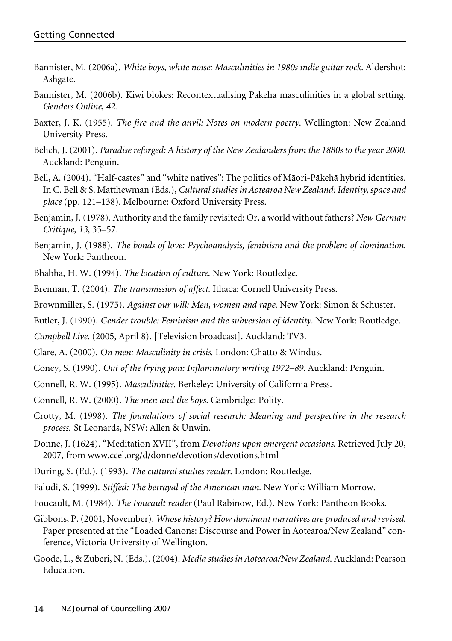- Bannister, M. (2006a). *White boys, white noise: Masculinities in 1980s indie guitar rock*. Aldershot: Ashgate.
- Bannister, M. (2006b). Kiwi blokes: Recontextualising Pakeha masculinities in a global setting. *Genders Online, 42*.
- Baxter, J. K. (1955). *The fire and the anvil: Notes on modern poetry*. Wellington: New Zealand University Press.
- Belich, J. (2001). *Paradise reforged: A history of the New Zealanders from the 1880s to the year 2000*. Auckland: Penguin.
- Bell, A. (2004). "Half-castes" and "white natives": The politics of Mäori-Päkehä hybrid identities. In C. Bell & S. Matthewman (Eds.), *Cultural studies in Aotearoa New Zealand: Identity, space and place* (pp. 121–138). Melbourne: Oxford University Press.
- Benjamin, J. (1978). Authority and the family revisited: Or, a world without fathers? *New German Critique, 13*, 35–57.
- Benjamin, J. (1988). *The bonds of love: Psychoanalysis, feminism and the problem of domination*. New York: Pantheon.
- Bhabha, H. W. (1994). *The location of culture*. New York: Routledge.
- Brennan, T. (2004). *The transmission of affect.* Ithaca: Cornell University Press.
- Brownmiller, S. (1975). *Against our will: Men, women and rape*. New York: Simon & Schuster.
- Butler, J. (1990). *Gender trouble: Feminism and the subversion of identity*. New York: Routledge.
- *Campbell Live*. (2005, April 8). [Television broadcast]. Auckland: TV3.
- Clare, A. (2000). *On men: Masculinity in crisis*. London: Chatto & Windus.
- Coney, S. (1990). *Out of the frying pan: Inflammatory writing 1972–89*. Auckland: Penguin.
- Connell, R. W. (1995). *Masculinities*. Berkeley: University of California Press.
- Connell, R. W. (2000). *The men and the boys.* Cambridge: Polity.
- Crotty, M. (1998). *The foundations of social research: Meaning and perspective in the research process.* St Leonards, NSW: Allen & Unwin.
- Donne, J. (1624). "Meditation XVII", from *Devotions upon emergent occasions*. Retrieved July 20, 2007, from www.ccel.org/d/donne/devotions/devotions.html
- During, S. (Ed.). (1993). *The cultural studies reader*. London: Routledge.
- Faludi, S. (1999). *Stiffed: The betrayal of the American man.* New York: William Morrow.
- Foucault, M. (1984). *The Foucault reader* (Paul Rabinow, Ed.). New York: Pantheon Books.
- Gibbons, P. (2001, November). *Whose history? How dominant narratives are produced and revised*. Paper presented at the "Loaded Canons: Discourse and Power in Aotearoa/New Zealand" conference, Victoria University of Wellington.
- Goode, L., & Zuberi, N.(Eds.).(2004). *Media studies in Aotearoa/New Zealand*. Auckland: Pearson Education.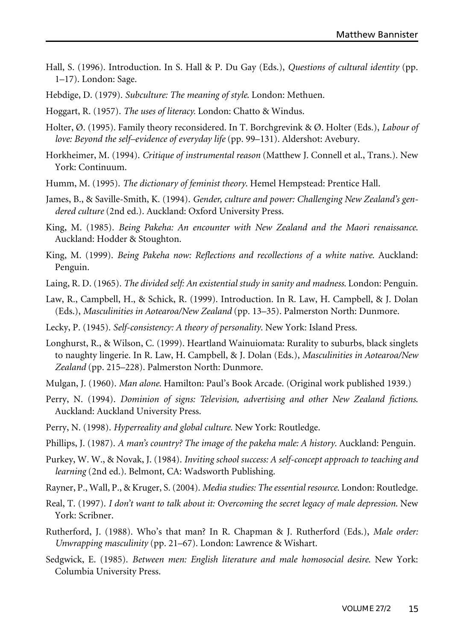- Hall, S. (1996). Introduction. In S. Hall & P. Du Gay (Eds.), *Questions of cultural identity* (pp. 1–17). London: Sage.
- Hebdige, D. (1979). *Subculture: The meaning of style*. London: Methuen.
- Hoggart, R. (1957). *The uses of literacy.* London: Chatto & Windus.
- Holter, Ø. (1995). Family theory reconsidered. In T. Borchgrevink & Ø. Holter (Eds.), *Labour of love: Beyond the self–evidence of everyday life* (pp. 99–131). Aldershot: Avebury.
- Horkheimer, M. (1994). *Critique of instrumental reason* (Matthew J. Connell et al., Trans.). New York: Continuum.
- Humm, M. (1995). *The dictionary of feminist theory*. Hemel Hempstead: Prentice Hall.
- James, B., & Saville-Smith, K. (1994). *Gender, culture and power: Challenging New Zealand's gendered culture* (2nd ed.). Auckland: Oxford University Press.
- King, M. (1985). *Being Pakeha: An encounter with New Zealand and the Maori renaissance*. Auckland: Hodder & Stoughton.
- King, M. (1999). *Being Pakeha now: Reflections and recollections of a white native*. Auckland: Penguin.
- Laing, R. D. (1965). *The divided self: An existential study in sanity and madness*. London: Penguin.
- Law, R., Campbell, H., & Schick, R. (1999). Introduction. In R. Law, H. Campbell, & J. Dolan (Eds.), *Masculinities in Aotearoa/New Zealand* (pp. 13–35). Palmerston North: Dunmore.
- Lecky, P. (1945). *Self-consistency: A theory of personality*. New York: Island Press.
- Longhurst, R., & Wilson, C. (1999). Heartland Wainuiomata: Rurality to suburbs, black singlets to naughty lingerie. In R. Law, H. Campbell, & J. Dolan (Eds.), *Masculinities in Aotearoa/New Zealand* (pp. 215–228). Palmerston North: Dunmore.
- Mulgan, J. (1960). *Man alone*. Hamilton: Paul's Book Arcade. (Original work published 1939.)
- Perry, N. (1994). *Dominion of signs: Television, advertising and other New Zealand fictions*. Auckland: Auckland University Press.
- Perry, N. (1998). *Hyperreality and global culture.* New York: Routledge.
- Phillips, J. (1987). *A man's country? The image of the pakeha male: A history*. Auckland: Penguin.
- Purkey, W. W., & Novak, J. (1984). *Inviting school success: A self-concept approach to teaching and learning* (2nd ed.). Belmont, CA: Wadsworth Publishing.
- Rayner, P., Wall, P., & Kruger, S. (2004). *Media studies: The essential resource*. London: Routledge.
- Real, T. (1997). *I don't want to talk about it: Overcoming the secret legacy of male depression*. New York: Scribner.
- Rutherford, J. (1988). Who's that man? In R. Chapman & J. Rutherford (Eds.), *Male order: Unwrapping masculinity* (pp. 21–67). London: Lawrence & Wishart.
- Sedgwick, E. (1985). *Between men: English literature and male homosocial desire*. New York: Columbia University Press.